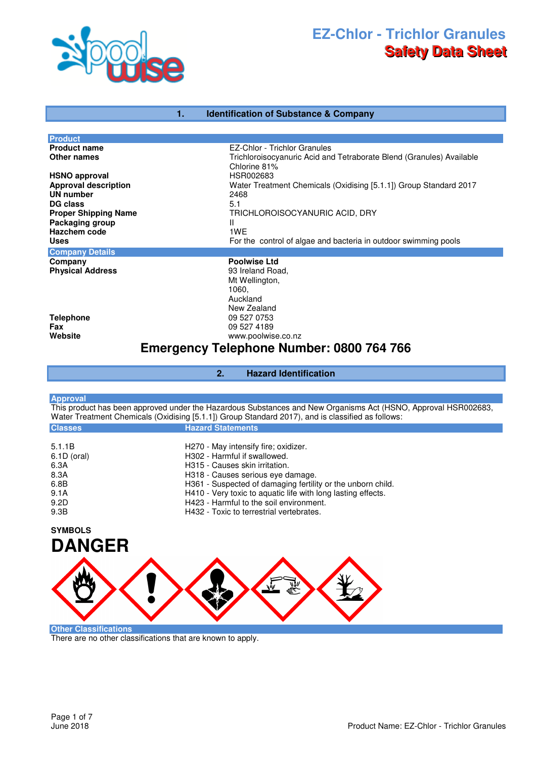

## **1. Identification of Substance & Company**

| <b>Product</b><br>EZ-Chlor - Trichlor Granules<br><b>Product name</b><br>Trichloroisocyanuric Acid and Tetraborate Blend (Granules) Available<br>Other names<br>Chlorine 81%<br>HSR002683<br><b>Approval description</b><br>Water Treatment Chemicals (Oxidising [5.1.1]) Group Standard 2017<br><b>UN number</b><br>2468<br>5.1<br>DG class<br><b>Proper Shipping Name</b><br>TRICHLOROISOCYANURIC ACID, DRY<br>Packaging group<br>Ш<br>1WE<br>For the control of algae and bacteria in outdoor swimming pools<br><b>Uses</b><br><b>Poolwise Ltd</b><br><b>Physical Address</b><br>93 Ireland Road,<br>Mt Wellington, |       |
|------------------------------------------------------------------------------------------------------------------------------------------------------------------------------------------------------------------------------------------------------------------------------------------------------------------------------------------------------------------------------------------------------------------------------------------------------------------------------------------------------------------------------------------------------------------------------------------------------------------------|-------|
| <b>HSNO approval</b><br>Hazchem code<br><b>Company Details</b><br>Company                                                                                                                                                                                                                                                                                                                                                                                                                                                                                                                                              |       |
|                                                                                                                                                                                                                                                                                                                                                                                                                                                                                                                                                                                                                        |       |
|                                                                                                                                                                                                                                                                                                                                                                                                                                                                                                                                                                                                                        |       |
|                                                                                                                                                                                                                                                                                                                                                                                                                                                                                                                                                                                                                        |       |
|                                                                                                                                                                                                                                                                                                                                                                                                                                                                                                                                                                                                                        |       |
|                                                                                                                                                                                                                                                                                                                                                                                                                                                                                                                                                                                                                        |       |
|                                                                                                                                                                                                                                                                                                                                                                                                                                                                                                                                                                                                                        |       |
|                                                                                                                                                                                                                                                                                                                                                                                                                                                                                                                                                                                                                        |       |
|                                                                                                                                                                                                                                                                                                                                                                                                                                                                                                                                                                                                                        |       |
|                                                                                                                                                                                                                                                                                                                                                                                                                                                                                                                                                                                                                        |       |
|                                                                                                                                                                                                                                                                                                                                                                                                                                                                                                                                                                                                                        |       |
|                                                                                                                                                                                                                                                                                                                                                                                                                                                                                                                                                                                                                        |       |
|                                                                                                                                                                                                                                                                                                                                                                                                                                                                                                                                                                                                                        |       |
|                                                                                                                                                                                                                                                                                                                                                                                                                                                                                                                                                                                                                        |       |
|                                                                                                                                                                                                                                                                                                                                                                                                                                                                                                                                                                                                                        |       |
|                                                                                                                                                                                                                                                                                                                                                                                                                                                                                                                                                                                                                        | 1060, |
| Auckland                                                                                                                                                                                                                                                                                                                                                                                                                                                                                                                                                                                                               |       |
| New Zealand                                                                                                                                                                                                                                                                                                                                                                                                                                                                                                                                                                                                            |       |
| 09 527 0753                                                                                                                                                                                                                                                                                                                                                                                                                                                                                                                                                                                                            |       |
| <b>Telephone</b><br>09 527 4189<br>Fax                                                                                                                                                                                                                                                                                                                                                                                                                                                                                                                                                                                 |       |
| Website                                                                                                                                                                                                                                                                                                                                                                                                                                                                                                                                                                                                                |       |
| www.poolwise.co.nz                                                                                                                                                                                                                                                                                                                                                                                                                                                                                                                                                                                                     |       |
| <b>Emergency Telephone Number: 0800 764 766</b>                                                                                                                                                                                                                                                                                                                                                                                                                                                                                                                                                                        |       |
|                                                                                                                                                                                                                                                                                                                                                                                                                                                                                                                                                                                                                        |       |
| <b>Hazard Identification</b><br>2.                                                                                                                                                                                                                                                                                                                                                                                                                                                                                                                                                                                     |       |

| <b>Approval</b> |  |  |  |
|-----------------|--|--|--|

This product has been approved under the Hazardous Substances and New Organisms Act (HSNO, Approval HSR002683, Water Treatment Chemicals (Oxidising [5.1.1]) Group Standard 2017), and is classified as follows:

| <b>Classes</b>                                                | <b>Hazard Statements</b>                                                                                                                                                                                                                                                                                              |
|---------------------------------------------------------------|-----------------------------------------------------------------------------------------------------------------------------------------------------------------------------------------------------------------------------------------------------------------------------------------------------------------------|
| 5.1.1B<br>6.1D (oral)<br>6.3A<br>8.3A<br>6.8B<br>9.1A<br>9.2D | H270 - May intensify fire; oxidizer.<br>H302 - Harmful if swallowed.<br>H315 - Causes skin irritation.<br>H318 - Causes serious eye damage.<br>H361 - Suspected of damaging fertility or the unborn child.<br>H410 - Very toxic to aquatic life with long lasting effects.<br>H423 - Harmful to the soil environment. |
| 9.3B                                                          | H432 - Toxic to terrestrial vertebrates.                                                                                                                                                                                                                                                                              |
| <b>SYMBOLS</b><br><b>DANGER</b>                               |                                                                                                                                                                                                                                                                                                                       |
|                                                               |                                                                                                                                                                                                                                                                                                                       |

**Other Classifications**

There are no other classifications that are known to apply.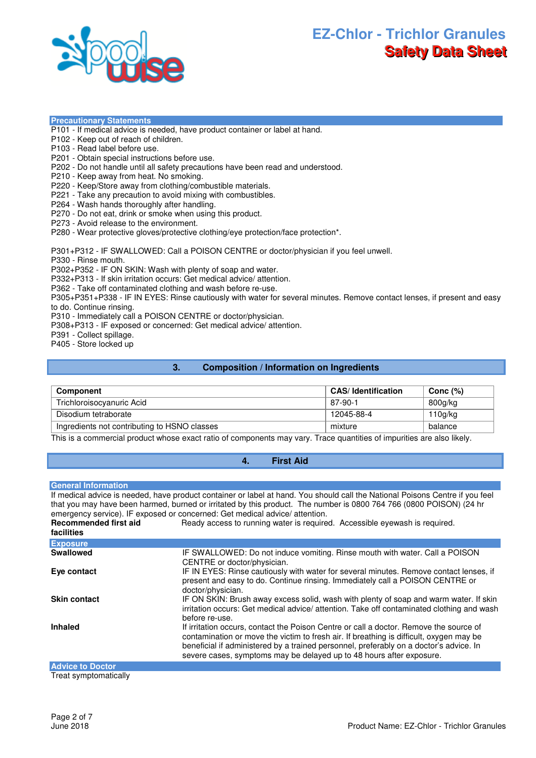

**Precautionary Statements**

- P101 If medical advice is needed, have product container or label at hand.
- P102 Keep out of reach of children.
- P103 Read label before use.
- P201 Obtain special instructions before use.
- P202 Do not handle until all safety precautions have been read and understood.
- P210 Keep away from heat. No smoking.
- P220 Keep/Store away from clothing/combustible materials.
- P221 Take any precaution to avoid mixing with combustibles.
- P264 Wash hands thoroughly after handling.
- P270 Do not eat, drink or smoke when using this product.
- P273 Avoid release to the environment.

P280 - Wear protective gloves/protective clothing/eye protection/face protection\*.

P301+P312 - IF SWALLOWED: Call a POISON CENTRE or doctor/physician if you feel unwell.

P330 - Rinse mouth.

P302+P352 - IF ON SKIN: Wash with plenty of soap and water.

P332+P313 - If skin irritation occurs: Get medical advice/ attention.

P362 - Take off contaminated clothing and wash before re-use.

P305+P351+P338 - IF IN EYES: Rinse cautiously with water for several minutes. Remove contact lenses, if present and easy to do. Continue rinsing.

P310 - Immediately call a POISON CENTRE or doctor/physician.

P308+P313 - IF exposed or concerned: Get medical advice/ attention.

P391 - Collect spillage.

P405 - Store locked up

#### **3. Composition / Information on Ingredients**

| Component                                    | <b>CAS/Identification</b> | Conc $(\%)$ |
|----------------------------------------------|---------------------------|-------------|
| Trichloroisocyanuric Acid                    | 87-90-1                   | 800g/kg     |
| Disodium tetraborate                         | 12045-88-4                | 110q/kg     |
| Ingredients not contributing to HSNO classes | mixture                   | balance     |

This is a commercial product whose exact ratio of components may vary. Trace quantities of impurities are also likely.

## **General Information**

If medical advice is needed, have product container or label at hand. You should call the National Poisons Centre if you feel that you may have been harmed, burned or irritated by this product. The number is 0800 764 766 (0800 POISON) (24 hr emergency service). IF exposed or concerned: Get medical advice/ attention. **Recommended first aid**  Ready access to running water is required. Accessible eyewash is required.

**4. First Aid** 

| facilities              | <u>Hoddy dooboo to Turming watch is regulied. Trococoloid eyemdori is regulied.</u>                                                                                                                                                                                                                                                                 |
|-------------------------|-----------------------------------------------------------------------------------------------------------------------------------------------------------------------------------------------------------------------------------------------------------------------------------------------------------------------------------------------------|
| <b>Exposure</b>         |                                                                                                                                                                                                                                                                                                                                                     |
| Swallowed               | IF SWALLOWED: Do not induce vomiting. Rinse mouth with water. Call a POISON<br>CENTRE or doctor/physician.                                                                                                                                                                                                                                          |
| Eye contact             | IF IN EYES: Rinse cautiously with water for several minutes. Remove contact lenses, if<br>present and easy to do. Continue rinsing. Immediately call a POISON CENTRE or<br>doctor/physician.                                                                                                                                                        |
| <b>Skin contact</b>     | IF ON SKIN: Brush away excess solid, wash with plenty of soap and warm water. If skin<br>irritation occurs: Get medical advice/ attention. Take off contaminated clothing and wash<br>before re-use.                                                                                                                                                |
| <b>Inhaled</b>          | If irritation occurs, contact the Poison Centre or call a doctor. Remove the source of<br>contamination or move the victim to fresh air. If breathing is difficult, oxygen may be<br>beneficial if administered by a trained personnel, preferably on a doctor's advice. In<br>severe cases, symptoms may be delayed up to 48 hours after exposure. |
| <b>Advice to Doctor</b> |                                                                                                                                                                                                                                                                                                                                                     |
| Troot cumptomotically   |                                                                                                                                                                                                                                                                                                                                                     |

Treat symptomatically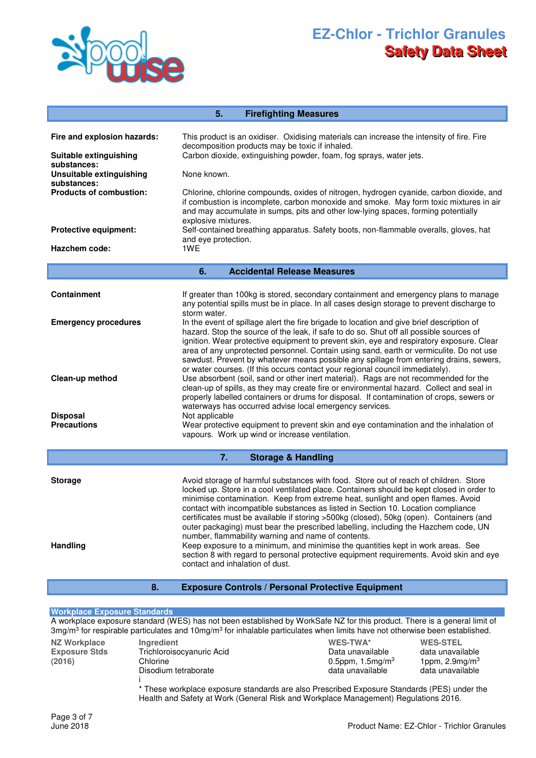

|                                                                                 | 5.<br><b>Firefighting Measures</b>                                                                                                                                                                                                                                                                                                                                                                                                                                    |  |  |  |
|---------------------------------------------------------------------------------|-----------------------------------------------------------------------------------------------------------------------------------------------------------------------------------------------------------------------------------------------------------------------------------------------------------------------------------------------------------------------------------------------------------------------------------------------------------------------|--|--|--|
| Fire and explosion hazards:<br>Suitable extinguishing<br>substances:            | This product is an oxidiser. Oxidising materials can increase the intensity of fire. Fire<br>decomposition products may be toxic if inhaled.<br>Carbon dioxide, extinguishing powder, foam, fog sprays, water jets.                                                                                                                                                                                                                                                   |  |  |  |
| Unsuitable extinguishing                                                        | None known.                                                                                                                                                                                                                                                                                                                                                                                                                                                           |  |  |  |
| substances:<br><b>Products of combustion:</b>                                   | Chlorine, chlorine compounds, oxides of nitrogen, hydrogen cyanide, carbon dioxide, and<br>if combustion is incomplete, carbon monoxide and smoke. May form toxic mixtures in air<br>and may accumulate in sumps, pits and other low-lying spaces, forming potentially                                                                                                                                                                                                |  |  |  |
| Protective equipment:                                                           | explosive mixtures.<br>Self-contained breathing apparatus. Safety boots, non-flammable overalls, gloves, hat<br>and eye protection.                                                                                                                                                                                                                                                                                                                                   |  |  |  |
| Hazchem code:                                                                   | 1WE                                                                                                                                                                                                                                                                                                                                                                                                                                                                   |  |  |  |
| <b>Accidental Release Measures</b><br>6.                                        |                                                                                                                                                                                                                                                                                                                                                                                                                                                                       |  |  |  |
| <b>Containment</b>                                                              | If greater than 100kg is stored, secondary containment and emergency plans to manage<br>any potential spills must be in place. In all cases design storage to prevent discharge to<br>storm water.                                                                                                                                                                                                                                                                    |  |  |  |
| <b>Emergency procedures</b>                                                     | In the event of spillage alert the fire brigade to location and give brief description of<br>hazard. Stop the source of the leak, if safe to do so. Shut off all possible sources of<br>ignition. Wear protective equipment to prevent skin, eye and respiratory exposure. Clear<br>area of any unprotected personnel. Contain using sand, earth or vermiculite. Do not use<br>sawdust. Prevent by whatever means possible any spillage from entering drains, sewers, |  |  |  |
| Clean-up method                                                                 | or water courses. (If this occurs contact your regional council immediately).<br>Use absorbent (soil, sand or other inert material). Rags are not recommended for the<br>clean-up of spills, as they may create fire or environmental hazard. Collect and seal in<br>properly labelled containers or drums for disposal. If contamination of crops, sewers or<br>waterways has occurred advise local emergency services.                                              |  |  |  |
| <b>Disposal</b><br><b>Precautions</b>                                           | Not applicable<br>Wear protective equipment to prevent skin and eye contamination and the inhalation of<br>vapours. Work up wind or increase ventilation.                                                                                                                                                                                                                                                                                                             |  |  |  |
| <b>Storage &amp; Handling</b><br>7.                                             |                                                                                                                                                                                                                                                                                                                                                                                                                                                                       |  |  |  |
| <b>Storage</b>                                                                  | Avoid storage of harmful substances with food. Store out of reach of children. Store<br>locked up. Store in a cool ventilated place. Containers should be kept closed in order to<br>minimise contamination. Keep from extreme heat, sunlight and open flames. Avoid<br>contact with incompatible substances as listed in Section 10. Location compliance<br>certificates must be available if storing >500kg (closed), 50kg (open). Containers (and                  |  |  |  |
| <b>Handling</b>                                                                 | outer packaging) must bear the prescribed labelling, including the Hazchem code, UN<br>number, flammability warning and name of contents.<br>Keep exposure to a minimum, and minimise the quantities kept in work areas. See<br>section 8 with regard to personal protective equipment requirements. Avoid skin and eye<br>contact and inhalation of dust.                                                                                                            |  |  |  |
| 8.                                                                              | <b>Exposure Controls / Personal Protective Equipment</b>                                                                                                                                                                                                                                                                                                                                                                                                              |  |  |  |
| <b>Workplace Exposure Standards</b>                                             | A workplace exposure standard (WES) has not been established by WorkSafe NZ for this product. There is a general limit of<br>3mg/m <sup>3</sup> for respirable particulates and 10mg/m <sup>3</sup> for inhalable particulates when limits have not otherwise been established.                                                                                                                                                                                       |  |  |  |
| <b>NZ Workplace</b><br>Ingredient<br><b>Exposure Stds</b><br>(2016)<br>Chlorine | WES-TWA*<br><b>WES-STEL</b><br>Trichloroisocyanuric Acid<br>Data unavailable<br>data unavailable<br>0.5ppm, $1.5$ mg/m <sup>3</sup><br>1ppm, $2.9$ mg/m $3$<br>Disodium tetraborate<br>data unavailable<br>data unavailable                                                                                                                                                                                                                                           |  |  |  |
|                                                                                 | * These workplace exposure standards are also Prescribed Exposure Standards (PES) under the<br>Health and Safety at Work (General Risk and Workplace Management) Regulations 2016.                                                                                                                                                                                                                                                                                    |  |  |  |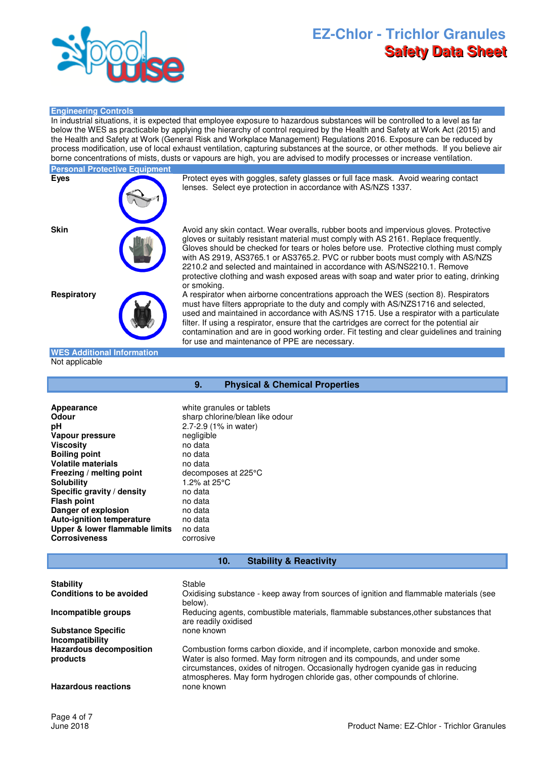

### **Engineering Controls**

In industrial situations, it is expected that employee exposure to hazardous substances will be controlled to a level as far below the WES as practicable by applying the hierarchy of control required by the Health and Safety at Work Act (2015) and the Health and Safety at Work (General Risk and Workplace Management) Regulations 2016. Exposure can be reduced by process modification, use of local exhaust ventilation, capturing substances at the source, or other methods. If you believe air borne concentrations of mists, dusts or vapours are high, you are advised to modify processes or increase ventilation.

# **Personal Protective Equipment**

**Eyes** Protect eyes with goggles, safety glasses or full face mask. Avoid wearing contact lenses. Select eye protection in accordance with AS/NZS 1337.

**Skin Avoid any skin contact. Wear overalls, rubber boots and impervious gloves. Protective** gloves or suitably resistant material must comply with AS 2161. Replace frequently. Gloves should be checked for tears or holes before use. Protective clothing must comply with AS 2919, AS3765.1 or AS3765.2. PVC or rubber boots must comply with AS/NZS 2210.2 and selected and maintained in accordance with AS/NS2210.1. Remove protective clothing and wash exposed areas with soap and water prior to eating, drinking or smoking.

**Respiratory A** respirator when airborne concentrations approach the WES (section 8). Respirators must have filters appropriate to the duty and comply with AS/NZS1716 and selected, used and maintained in accordance with AS/NS 1715. Use a respirator with a particulate filter. If using a respirator, ensure that the cartridges are correct for the potential air contamination and are in good working order. Fit testing and clear guidelines and training for use and maintenance of PPE are necessary.

#### **WES Additional Information** Not applicable

## **9. Physical & Chemical Properties**

**Appearance** white granules or tablets<br> **Odour** sharp chlorine/blean like **pH** 2.7-2.9 (1% in water) **Vapour pressure** negligible **Viscosity** no data **Boiling point** no data **Volatile materials** no data **Freezing / melting point** decomposes at 225°C **Solubility** 1.2% at 25°C **Specific gravity / density** no data<br>**Flash point** no data **Flash point** no data<br> **Danger of explosion** no data **Danger of explosion Auto-ignition temperature** no data **Upper & lower flammable limits** no data **Corrosiveness** corrosive

sharp chlorine/blean like odour

#### **10. Stability & Reactivity**

| <b>Stability</b>                             | Stable                                                                                                                                                                                                                                                                                                                       |
|----------------------------------------------|------------------------------------------------------------------------------------------------------------------------------------------------------------------------------------------------------------------------------------------------------------------------------------------------------------------------------|
| Conditions to be avoided                     | Oxidising substance - keep away from sources of ignition and flammable materials (see<br>below).                                                                                                                                                                                                                             |
| Incompatible groups                          | Reducing agents, combustible materials, flammable substances, other substances that<br>are readily oxidised                                                                                                                                                                                                                  |
| <b>Substance Specific</b><br>Incompatibility | none known                                                                                                                                                                                                                                                                                                                   |
| <b>Hazardous decomposition</b><br>products   | Combustion forms carbon dioxide, and if incomplete, carbon monoxide and smoke.<br>Water is also formed. May form nitrogen and its compounds, and under some<br>circumstances, oxides of nitrogen. Occasionally hydrogen cyanide gas in reducing<br>atmospheres. May form hydrogen chloride gas, other compounds of chlorine. |
| <b>Hazardous reactions</b>                   | none known                                                                                                                                                                                                                                                                                                                   |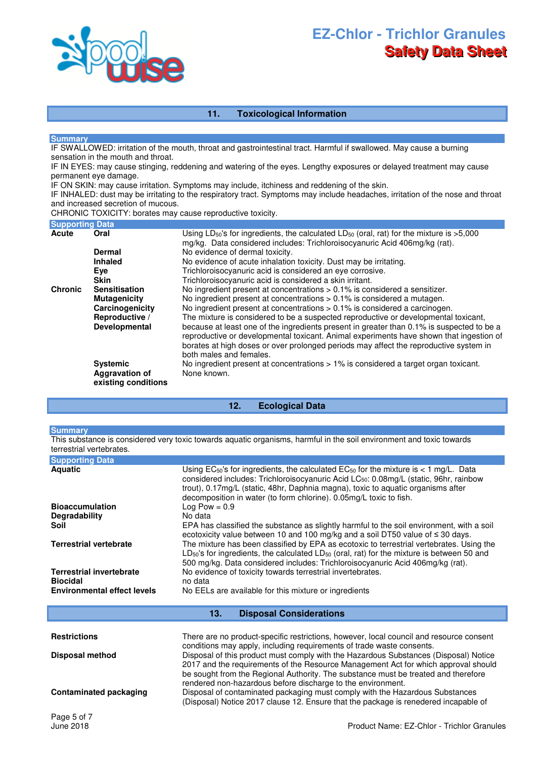

## **11. Toxicological Information**

#### **Summary**

IF SWALLOWED: irritation of the mouth, throat and gastrointestinal tract. Harmful if swallowed. May cause a burning sensation in the mouth and throat.

IF IN EYES: may cause stinging, reddening and watering of the eyes. Lengthy exposures or delayed treatment may cause permanent eye damage.

IF ON SKIN: may cause irritation. Symptoms may include, itchiness and reddening of the skin.

IF INHALED: dust may be irritating to the respiratory tract. Symptoms may include headaches, irritation of the nose and throat and increased secretion of mucous.

CHRONIC TOXICITY: borates may cause reproductive toxicity.

| <b>Supporting Data</b> |                                                                 |                                                                                                                                                                                                                                                                                                          |
|------------------------|-----------------------------------------------------------------|----------------------------------------------------------------------------------------------------------------------------------------------------------------------------------------------------------------------------------------------------------------------------------------------------------|
| Acute                  | Oral                                                            | Using LD <sub>50</sub> 's for ingredients, the calculated LD <sub>50</sub> (oral, rat) for the mixture is $>5,000$<br>mg/kg. Data considered includes: Trichloroisocyanuric Acid 406mg/kg (rat).                                                                                                         |
|                        | Dermal                                                          | No evidence of dermal toxicity.                                                                                                                                                                                                                                                                          |
|                        | <b>Inhaled</b>                                                  | No evidence of acute inhalation toxicity. Dust may be irritating.                                                                                                                                                                                                                                        |
|                        | Eye                                                             | Trichloroisocyanuric acid is considered an eye corrosive.                                                                                                                                                                                                                                                |
|                        | <b>Skin</b>                                                     | Trichloroisocyanuric acid is considered a skin irritant.                                                                                                                                                                                                                                                 |
| <b>Chronic</b>         | <b>Sensitisation</b>                                            | No ingredient present at concentrations > 0.1% is considered a sensitizer.                                                                                                                                                                                                                               |
|                        | <b>Mutagenicity</b>                                             | No ingredient present at concentrations > 0.1% is considered a mutagen.                                                                                                                                                                                                                                  |
|                        | Carcinogenicity                                                 | No ingredient present at concentrations $> 0.1\%$ is considered a carcinogen.                                                                                                                                                                                                                            |
|                        | Reproductive /                                                  | The mixture is considered to be a suspected reproductive or developmental toxicant,                                                                                                                                                                                                                      |
|                        | Developmental                                                   | because at least one of the ingredients present in greater than 0.1% is suspected to be a<br>reproductive or developmental toxicant. Animal experiments have shown that ingestion of<br>borates at high doses or over prolonged periods may affect the reproductive system in<br>both males and females. |
|                        | <b>Systemic</b><br><b>Aggravation of</b><br>existing conditions | No ingredient present at concentrations > 1% is considered a target organ toxicant.<br>None known.                                                                                                                                                                                                       |

### **12. Ecological Data**

#### **Summary**

This substance is considered very toxic towards aquatic organisms, harmful in the soil environment and toxic towards terrestrial vertebrates.

| <b>Supporting Data</b>                             |                                                                                                                                                                                                                                                                                                                                                               |
|----------------------------------------------------|---------------------------------------------------------------------------------------------------------------------------------------------------------------------------------------------------------------------------------------------------------------------------------------------------------------------------------------------------------------|
| <b>Aquatic</b>                                     | Using $EC_{50}$ 's for ingredients, the calculated $EC_{50}$ for the mixture is < 1 mg/L. Data<br>considered includes: Trichloroisocyanuric Acid LC <sub>50</sub> : 0.08mg/L (static, 96hr, rainbow<br>trout), 0.17mg/L (static, 48hr, Daphnia magna), toxic to aquatic organisms after<br>decomposition in water (to form chlorine). 0.05mg/L toxic to fish. |
| <b>Bioaccumulation</b>                             | Log Pow = $0.9$                                                                                                                                                                                                                                                                                                                                               |
| <b>Degradability</b>                               | No data                                                                                                                                                                                                                                                                                                                                                       |
| Soil                                               | EPA has classified the substance as slightly harmful to the soil environment, with a soil<br>ecotoxicity value between 10 and 100 mg/kg and a soil DT50 value of $\leq$ 30 days.                                                                                                                                                                              |
| <b>Terrestrial vertebrate</b>                      | The mixture has been classified by EPA as ecotoxic to terrestrial vertebrates. Using the<br>$LD_{50}$ 's for ingredients, the calculated $LD_{50}$ (oral, rat) for the mixture is between 50 and<br>500 mg/kg. Data considered includes: Trichloroisocyanuric Acid 406mg/kg (rat).                                                                            |
| <b>Terrestrial invertebrate</b><br><b>Biocidal</b> | No evidence of toxicity towards terrestrial invertebrates.<br>no data                                                                                                                                                                                                                                                                                         |
| <b>Environmental effect levels</b>                 | No EELs are available for this mixture or ingredients                                                                                                                                                                                                                                                                                                         |

**13. Disposal Considerations** 

| <b>Restrictions</b>           | There are no product-specific restrictions, however, local council and resource consent<br>conditions may apply, including requirements of trade waste consents.                                                                                                                                                                |
|-------------------------------|---------------------------------------------------------------------------------------------------------------------------------------------------------------------------------------------------------------------------------------------------------------------------------------------------------------------------------|
| <b>Disposal method</b>        | Disposal of this product must comply with the Hazardous Substances (Disposal) Notice<br>2017 and the requirements of the Resource Management Act for which approval should<br>be sought from the Regional Authority. The substance must be treated and therefore<br>rendered non-hazardous before discharge to the environment. |
| <b>Contaminated packaging</b> | Disposal of contaminated packaging must comply with the Hazardous Substances<br>(Disposal) Notice 2017 clause 12. Ensure that the package is renedered incapable of                                                                                                                                                             |
| Page 5 of 7                   |                                                                                                                                                                                                                                                                                                                                 |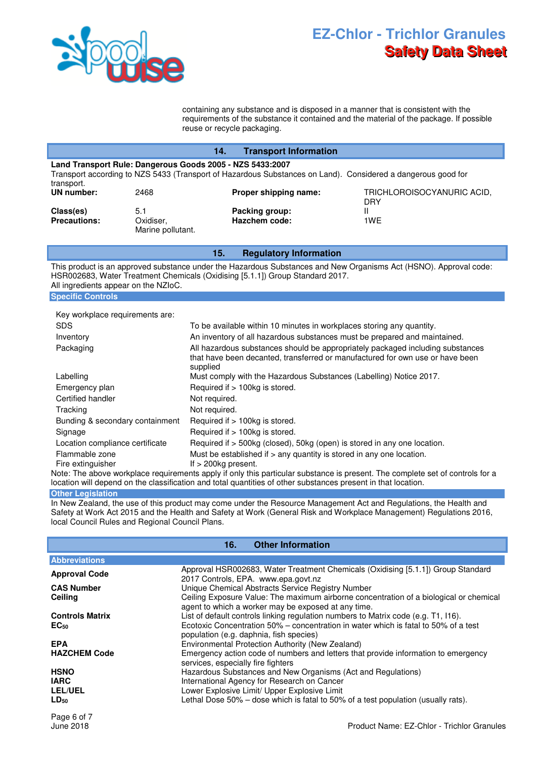

containing any substance and is disposed in a manner that is consistent with the requirements of the substance it contained and the material of the package. If possible reuse or recycle packaging.

|                                                                                                                                                                                         | 14.                                   | <b>Transport Information</b>    |                                   |
|-----------------------------------------------------------------------------------------------------------------------------------------------------------------------------------------|---------------------------------------|---------------------------------|-----------------------------------|
| Land Transport Rule: Dangerous Goods 2005 - NZS 5433:2007<br>Transport according to NZS 5433 (Transport of Hazardous Substances on Land). Considered a dangerous good for<br>transport. |                                       |                                 |                                   |
| UN number:                                                                                                                                                                              | 2468                                  | Proper shipping name:           | TRICHLOROISOCYANURIC ACID,<br>DRY |
| Class(es)<br><b>Precautions:</b>                                                                                                                                                        | 5.1<br>Oxidiser,<br>Marine pollutant. | Packing group:<br>Hazchem code: | 1WF                               |

## **15. Regulatory Information**

This product is an approved substance under the Hazardous Substances and New Organisms Act (HSNO). Approval code: HSR002683, Water Treatment Chemicals (Oxidising [5.1.1]) Group Standard 2017. All ingredients appear on the NZIoC. **Specific Controls**

| Key workplace requirements are:     |                                                                                                                                                                             |
|-------------------------------------|-----------------------------------------------------------------------------------------------------------------------------------------------------------------------------|
| <b>SDS</b>                          | To be available within 10 minutes in workplaces storing any quantity.                                                                                                       |
| Inventory                           | An inventory of all hazardous substances must be prepared and maintained.                                                                                                   |
| Packaging                           | All hazardous substances should be appropriately packaged including substances<br>that have been decanted, transferred or manufactured for own use or have been<br>supplied |
| Labelling                           | Must comply with the Hazardous Substances (Labelling) Notice 2017.                                                                                                          |
| Emergency plan                      | Required if > 100kg is stored.                                                                                                                                              |
| Certified handler                   | Not required.                                                                                                                                                               |
| Tracking                            | Not required.                                                                                                                                                               |
| Bunding & secondary containment     | Required if > 100kg is stored.                                                                                                                                              |
| Signage                             | Required if > 100kg is stored.                                                                                                                                              |
| Location compliance certificate     | Required if > 500kg (closed), 50kg (open) is stored in any one location.                                                                                                    |
| Flammable zone<br>Fire extinguisher | Must be established if $>$ any quantity is stored in any one location.<br>If $>$ 200kg present.                                                                             |

Note: The above workplace requirements apply if only this particular substance is present. The complete set of controls for a location will depend on the classification and total quantities of other substances present in that location.

## **Other Legislation**

In New Zealand, the use of this product may come under the Resource Management Act and Regulations, the Health and Safety at Work Act 2015 and the Health and Safety at Work (General Risk and Workplace Management) Regulations 2016, local Council Rules and Regional Council Plans.

| <b>Other Information</b><br>16. |                                                                                                                                               |
|---------------------------------|-----------------------------------------------------------------------------------------------------------------------------------------------|
| <b>Abbreviations</b>            |                                                                                                                                               |
| <b>Approval Code</b>            | Approval HSR002683, Water Treatment Chemicals (Oxidising [5.1.1]) Group Standard<br>2017 Controls, EPA. www.epa.govt.nz                       |
| <b>CAS Number</b>               | Unique Chemical Abstracts Service Registry Number                                                                                             |
| Ceiling                         | Ceiling Exposure Value: The maximum airborne concentration of a biological or chemical<br>agent to which a worker may be exposed at any time. |
| <b>Controls Matrix</b>          | List of default controls linking regulation numbers to Matrix code (e.g. T1, I16).                                                            |
| $EC_{50}$                       | Ecotoxic Concentration 50% – concentration in water which is fatal to 50% of a test<br>population (e.g. daphnia, fish species)                |
| <b>EPA</b>                      | Environmental Protection Authority (New Zealand)                                                                                              |
| <b>HAZCHEM Code</b>             | Emergency action code of numbers and letters that provide information to emergency<br>services, especially fire fighters                      |
| <b>HSNO</b>                     | Hazardous Substances and New Organisms (Act and Regulations)                                                                                  |
| <b>IARC</b>                     | International Agency for Research on Cancer                                                                                                   |
| <b>LEL/UEL</b>                  | Lower Explosive Limit/ Upper Explosive Limit                                                                                                  |
| $LD_{50}$                       | Lethal Dose 50% – dose which is fatal to 50% of a test population (usually rats).                                                             |
| Page 6 of 7                     |                                                                                                                                               |
| June 2018                       | Product Name: EZ-Chlor - Trichlor Granules                                                                                                    |